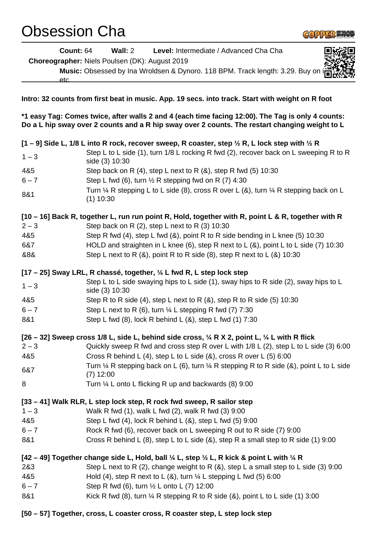## Obsession Cha



**Count:** 64 **Wall:** 2 **Level:** Intermediate / Advanced Cha Cha **Choreographer:** Niels Poulsen (DK): August 2019

**Music:** Obsessed by Ina Wroldsen & Dynoro. 118 BPM. Track length: 3.29. Buy on

etc

**Intro: 32 counts from first beat in music. App. 19 secs. into track. Start with weight on R foot**

**\*1 easy Tag: Comes twice, after walls 2 and 4 (each time facing 12:00). The Tag is only 4 counts: Do a L hip sway over 2 counts and a R hip sway over 2 counts. The restart changing weight to L**

| $1 - 3$                                                                                                                   | [1 – 9] Side L, 1/8 L into R rock, recover sweep, R coaster, step $\frac{1}{2}$ R, L lock step with $\frac{1}{2}$ R<br>Step L to L side (1), turn 1/8 L rocking R fwd (2), recover back on L sweeping R to R<br>side (3) 10:30 |  |
|---------------------------------------------------------------------------------------------------------------------------|--------------------------------------------------------------------------------------------------------------------------------------------------------------------------------------------------------------------------------|--|
| 4&5                                                                                                                       | Step back on R $(4)$ , step L next to R $(8)$ , step R fwd $(5)$ 10:30                                                                                                                                                         |  |
| $6 - 7$                                                                                                                   | Step L fwd (6), turn $\frac{1}{2}$ R stepping fwd on R (7) 4:30                                                                                                                                                                |  |
| 8&1                                                                                                                       | Turn $\frac{1}{4}$ R stepping L to L side (8), cross R over L (&), turn $\frac{1}{4}$ R stepping back on L<br>$(1)$ 10:30                                                                                                      |  |
| [10 – 16] Back R, together L, run run point R, Hold, together with R, point L & R, together with R                        |                                                                                                                                                                                                                                |  |
| $2 - 3$                                                                                                                   | Step back on R $(2)$ , step L next to R $(3)$ 10:30                                                                                                                                                                            |  |
| 4&5                                                                                                                       | Step R fwd (4), step L fwd (&), point R to R side bending in L knee (5) 10:30                                                                                                                                                  |  |
| 6&7                                                                                                                       | HOLD and straighten in L knee (6), step R next to L $(8)$ , point L to L side (7) 10:30                                                                                                                                        |  |
| &8&                                                                                                                       | Step L next to R $(8)$ , point R to R side $(8)$ , step R next to L $(8)$ 10:30                                                                                                                                                |  |
| [17 – 25] Sway LRL, R chassé, together, 1/4 L fwd R, L step lock step                                                     |                                                                                                                                                                                                                                |  |
|                                                                                                                           | Step L to L side swaying hips to L side (1), sway hips to R side (2), sway hips to L                                                                                                                                           |  |
| $1 - 3$                                                                                                                   | side (3) 10:30                                                                                                                                                                                                                 |  |
| 4&5                                                                                                                       | Step R to R side (4), step L next to R $(8)$ , step R to R side (5) 10:30                                                                                                                                                      |  |
| $6 - 7$                                                                                                                   | Step L next to R (6), turn $\frac{1}{4}$ L stepping R fwd (7) 7:30                                                                                                                                                             |  |
| 8&1                                                                                                                       | Step L fwd (8), lock R behind L (8), step L fwd (1) 7:30                                                                                                                                                                       |  |
| [26 – 32] Sweep cross 1/8 L, side L, behind side cross, $\frac{1}{4}$ R X 2, point L, $\frac{1}{4}$ L with R flick        |                                                                                                                                                                                                                                |  |
| $2 - 3$                                                                                                                   | Quickly sweep R fwd and cross step R over L with 1/8 L (2), step L to L side (3) 6:00                                                                                                                                          |  |
| 4&5                                                                                                                       | Cross R behind L (4), step L to L side (&), cross R over L (5) 6:00                                                                                                                                                            |  |
| 6&7                                                                                                                       | Turn $\frac{1}{4}$ R stepping back on L (6), turn $\frac{1}{4}$ R stepping R to R side (&), point L to L side<br>$(7)$ 12:00                                                                                                   |  |
| 8                                                                                                                         | Turn 1/4 L onto L flicking R up and backwards (8) 9:00                                                                                                                                                                         |  |
| [33 – 41] Walk RLR, L step lock step, R rock fwd sweep, R sailor step                                                     |                                                                                                                                                                                                                                |  |
| $1 - 3$                                                                                                                   | Walk R fwd (1), walk L fwd (2), walk R fwd (3) 9:00                                                                                                                                                                            |  |
| 4&5                                                                                                                       | Step L fwd (4), lock R behind L (&), step L fwd (5) 9:00                                                                                                                                                                       |  |
| $6 - 7$                                                                                                                   | Rock R fwd (6), recover back on L sweeping R out to R side (7) 9:00                                                                                                                                                            |  |
| 8&1                                                                                                                       | Cross R behind L (8), step L to L side (8), step R a small step to R side (1) 9:00                                                                                                                                             |  |
| [42 – 49] Together change side L, Hold, ball $\frac{1}{4}$ L, step $\frac{1}{2}$ L, R kick & point L with $\frac{1}{4}$ R |                                                                                                                                                                                                                                |  |
| 2&3                                                                                                                       | Step L next to R (2), change weight to R $(8)$ , step L a small step to L side (3) 9:00                                                                                                                                        |  |
| 4&5                                                                                                                       | Hold (4), step R next to L (&), turn $\frac{1}{4}$ L stepping L fwd (5) 6:00                                                                                                                                                   |  |
| $6 - 7$                                                                                                                   | Step R fwd (6), turn 1/2 L onto L (7) 12:00                                                                                                                                                                                    |  |
| 8&1                                                                                                                       | Kick R fwd (8), turn $\frac{1}{4}$ R stepping R to R side (&), point L to L side (1) 3:00                                                                                                                                      |  |
|                                                                                                                           |                                                                                                                                                                                                                                |  |

**[50 – 57] Together, cross, L coaster cross, R coaster step, L step lock step**